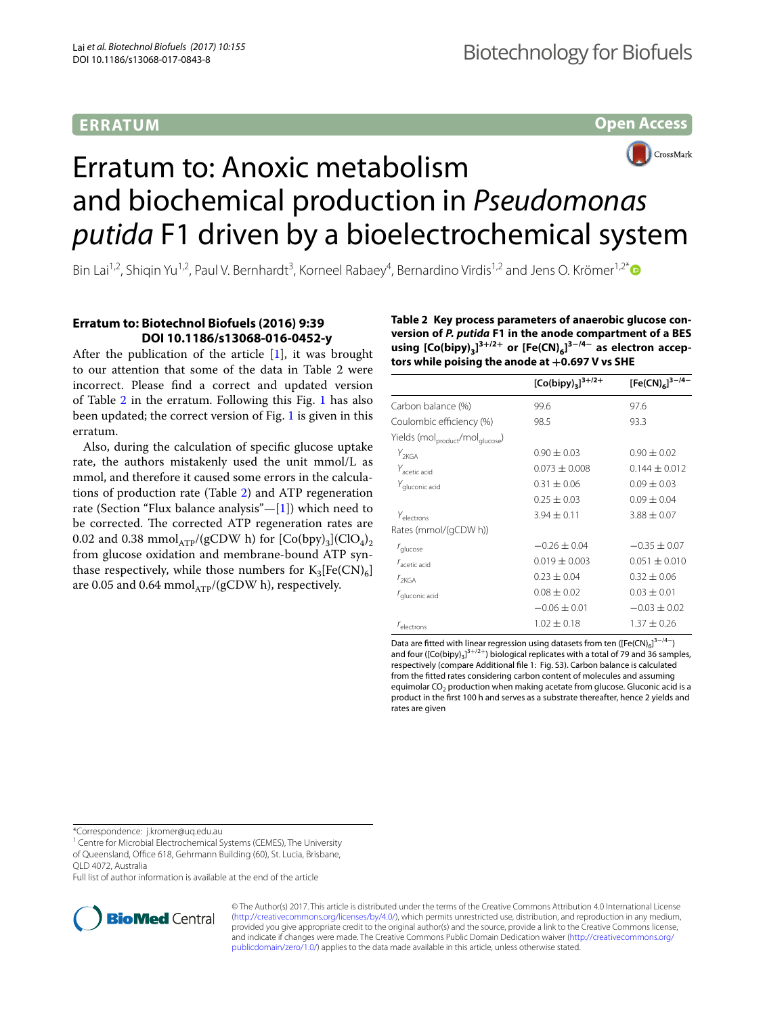## **ERRATUM**

**Open Access**



# Erratum to: Anoxic metabolism and biochemical production in *Pseudomonas putida* F1 driven by a bioelectrochemical system

Bin Lai<sup>1,2</sup>, Shiqin Yu<sup>1,2</sup>, Paul V. Bernhardt<sup>3</sup>, Korneel Rabaey<sup>4</sup>, Bernardino Virdis<sup>1,2</sup> and Jens O. Krömer<sup>1,2[\\*](http://orcid.org/0000-0001-5006-0819)</sup>

## **Erratum to: Biotechnol Biofuels (2016) 9:39 DOI 10.1186/s13068‑016‑0452‑y**

After the publication of the article  $[1]$  $[1]$ , it was brought to our attention that some of the data in Table 2 were incorrect. Please fnd a correct and updated version of Table [2](#page-0-0) in the erratum. Following this Fig. [1](#page-1-1) has also been updated; the correct version of Fig. [1](#page-1-1) is given in this erratum.

Also, during the calculation of specifc glucose uptake rate, the authors mistakenly used the unit mmol/L as mmol, and therefore it caused some errors in the calculations of production rate (Table [2\)](#page-0-0) and ATP regeneration rate (Section "Flux balance analysis"—[[1\]](#page-1-0)) which need to be corrected. The corrected ATP regeneration rates are 0.02 and 0.38 mmol<sub>ATP</sub>/(gCDW h) for  $[Co(bpy)_3]$  $(ClO_4)_2$ from glucose oxidation and membrane-bound ATP synthase respectively, while those numbers for  $K_3[Fe(CN)_6]$ are 0.05 and 0.64 mmol $_{ATP}/(gCDW$  h), respectively.

<span id="page-0-0"></span>**Table 2 Key process parameters of anaerobic glucose con‑ version of** *P. putida* **F1 in the anode compartment of a BES using [Co(bipy)**<sub>3</sub><sup>3+/2+</sup> or [Fe(CN)<sub>6</sub>]<sup>3−/4−</sup> as electron accep**tors while poising the anode at +0.697 V vs SHE**

|                                                          | $[Co(bipy)]^{3+/2+}$ | [Fe(CN) <sub>6</sub> ] <sup>3-/4-</sup> |
|----------------------------------------------------------|----------------------|-----------------------------------------|
| Carbon balance (%)                                       | 99.6                 | 97.6                                    |
| Coulombic efficiency (%)                                 | 98.5                 | 93.3                                    |
| Yields (mol <sub>product</sub> /mol <sub>glucose</sub> ) |                      |                                         |
| $Y_{2KGA}$                                               | $0.90 \pm 0.03$      | $0.90 \pm 0.02$                         |
| Y <sub>acetic</sub> acid                                 | $0.073 + 0.008$      | $0.144 \pm 0.012$                       |
| Y <sub>gluconic</sub> acid                               | $0.31 + 0.06$        | $0.09 + 0.03$                           |
|                                                          | $0.25 \pm 0.03$      | $0.09 \pm 0.04$                         |
| Yelectrons                                               | $3.94 \pm 0.11$      | $3.88 \pm 0.07$                         |
| Rates (mmol/(gCDW h))                                    |                      |                                         |
| $r_{\text{glucose}}$                                     | $-0.26 \pm 0.04$     | $-0.35 \pm 0.07$                        |
| $r_{\rm acetic\, acid}$                                  | $0.019 \pm 0.003$    | $0.051 + 0.010$                         |
| $r_{2KGA}$                                               | $0.23 \pm 0.04$      | $0.32 \pm 0.06$                         |
| r <sub>gluconic acid</sub>                               | $0.08 \pm 0.02$      | $0.03 \pm 0.01$                         |
|                                                          | $-0.06 \pm 0.01$     | $-0.03 + 0.02$                          |
| $r_{\text{electrons}}$                                   | $1.02 \pm 0.18$      | $1.37 + 0.26$                           |

Data are fitted with linear regression using datasets from ten ([Fe(CN) $_6$ ]<sup>3-/4-</sup>) and four ([Co(bipy)<sub>3</sub>]<sup>3+/2+</sup>) biological replicates with a total of 79 and 36 samples, respectively (compare Additional fle 1: Fig. S3). Carbon balance is calculated from the ftted rates considering carbon content of molecules and assuming equimolar  $CO<sub>2</sub>$  production when making acetate from glucose. Gluconic acid is a product in the frst 100 h and serves as a substrate thereafter, hence 2 yields and rates are given

\*Correspondence: j.kromer@uq.edu.au

<sup>1</sup> Centre for Microbial Electrochemical Systems (CEMES), The University

of Queensland, Office 618, Gehrmann Building (60), St. Lucia, Brisbane,

QLD 4072, Australia

Full list of author information is available at the end of the article



© The Author(s) 2017. This article is distributed under the terms of the Creative Commons Attribution 4.0 International License [\(http://creativecommons.org/licenses/by/4.0/\)](http://creativecommons.org/licenses/by/4.0/), which permits unrestricted use, distribution, and reproduction in any medium, provided you give appropriate credit to the original author(s) and the source, provide a link to the Creative Commons license, and indicate if changes were made. The Creative Commons Public Domain Dedication waiver ([http://creativecommons.org/](http://creativecommons.org/publicdomain/zero/1.0/) [publicdomain/zero/1.0/](http://creativecommons.org/publicdomain/zero/1.0/)) applies to the data made available in this article, unless otherwise stated.